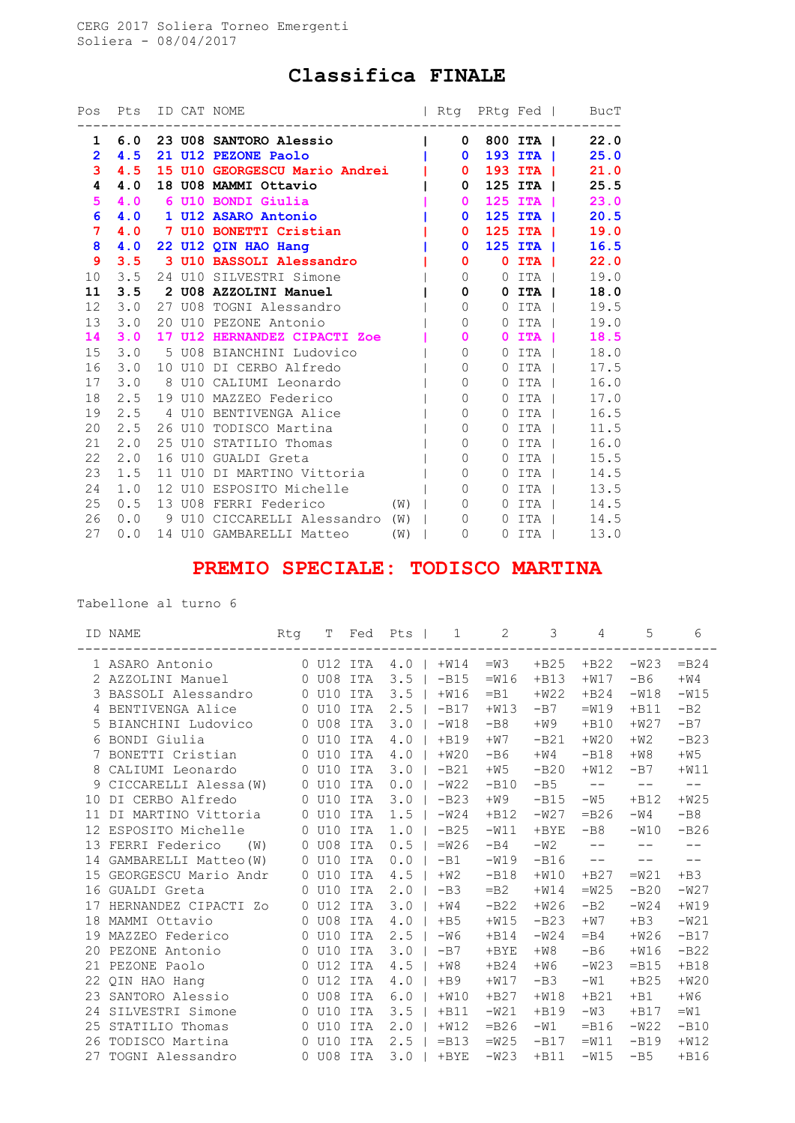## Classifica FINALE

| Pos             | Pts ID CAT NOME |    |                                 |     |                          |                       | Rtg PRtg Fed   BucT |
|-----------------|-----------------|----|---------------------------------|-----|--------------------------|-----------------------|---------------------|
| 1               |                 |    | 6.0 23 U08 SANTORO Alessio      |     | $\mathbf{0}$             | 800 ITA               | 22.0                |
| $\overline{2}$  | 4.5             |    | 21 U12 PEZONE Paolo             |     | $\mathbf{0}$             | 193 ITA               | 25.0                |
| 3               | 4.5             |    | 15 U10 GEORGESCU Mario Andrei   |     | 0                        | $193$ ITA $\parallel$ | 21.0                |
| 4               | 4.0             |    | 18 U08 MAMMI Ottavio            |     | 0                        | 125 ITA               | 25.5                |
| 5               | 4.0             |    | 6 U10 BONDI Giulia              |     | $\mathbf{0}$             | 125 ITA               | 23.0                |
| 6               | 4.0             |    | 1 U12 ASARO Antonio             |     | $\mathbf{0}$             | $125$ ITA $\vert$     | 20.5                |
| 7 <sup>1</sup>  | 4.0             |    | 7 U10 BONETTI Cristian          |     | 0                        | 125 ITA               | 19.0                |
| 8               | 4.0             |    | 22 U12 QIN HAO Hang             |     | $\mathbf{0}$             | 125 ITA               | 16.5                |
| 9               | 3.5             |    | 3 U10 BASSOLI Alessandro        |     | 0                        | $0$ ITA $ $           | 22.0                |
| 10 <sup>°</sup> | 3.5             |    | 24 U10 SILVESTRI Simone         |     | $\overline{0}$           | $0$ ita i             | 19.0                |
| 11              | 3.5             |    | 2 U08 AZZOLINI Manuel           |     | 0                        | $0$ ITA $\vert$       | 18.0                |
| 12              | 3.0             |    | 27 U08 TOGNI Alessandro         |     | $\mathbf{0}$<br>$\Omega$ | ITA 1                 | 19.5                |
| 13              | 3.0             |    | 20 U10 PEZONE Antonio           |     | $\mathbf{0}$<br>$\Omega$ | ITA I                 | 19.0                |
| 14              | 3.0             |    | 17 U12 HERNANDEZ CIPACTI Zoe    |     | 0<br>$\mathbf{0}$        | ITA                   | 18.5                |
| 15              | 3.0             |    | 5 U08 BIANCHINI Ludovico        |     | $\mathbf{0}$<br>$\Omega$ | ITA I                 | 18.0                |
| 16              | 3.0             |    | 10 U10 DI CERBO Alfredo         |     | $\Omega$<br>$\Omega$     | ITA                   | 17.5                |
|                 | $17 \quad 3.0$  |    | 8 U10 CALIUMI Leonardo          |     | 0<br>$\Omega$            | ITA 1                 | 16.0                |
| 18              | 2.5             |    | 19 U10 MAZZEO Federico          |     | $\Omega$<br>$\Omega$     | ITA                   | 17.0                |
| 19              | 2.5             |    | 4 U10 BENTIVENGA Alice          |     | 0<br>$\Omega$            | ITA                   | 16.5                |
| 20              | 2.5             |    | 26 U10 TODISCO Martina          |     | 0<br>$\Omega$            | ITA                   | 11.5                |
| 21              | 2.0             |    | 25 U10 STATILIO Thomas          |     | $\Omega$<br>$\Omega$     | ITA                   | 16.0                |
| 22              | 2.0             | 16 | U10 GUALDI Greta                |     | 0<br>$\Omega$            | ITA                   | 15.5                |
| 23              | 1.5             |    | 11 U10 DI MARTINO Vittoria      |     | $\mathbf{0}$<br>$\Omega$ | ITA I                 | 14.5                |
| 24              | 1.0             |    | 12 U10 ESPOSITO Michelle        |     | 0<br>$\Omega$            | ITA                   | 13.5                |
| 25              | 0.5             |    | 13 U08 FERRI Federico           | (W) | $\Omega$<br>$\Omega$     | ITA                   | 14.5                |
| 26              | 0.0             |    | 9 U10 CICCARELLI Alessandro (W) |     | $\Omega$<br>$\Omega$     | ITA I                 | 14.5                |
| 27              | 0.0             |    | 14 U10 GAMBARELLI Matteo (W)    |     | $\mathbf{0}$<br>$\Omega$ | ITA                   | 13.0                |

## PREMIO SPECIALE: TODISCO MARTINA

Tabellone al turno 6

|    | ID NAME               | Rtg      | Т         | Fed        | Pts           | 2<br>1            | 3       | 4       | 5          | 6       |
|----|-----------------------|----------|-----------|------------|---------------|-------------------|---------|---------|------------|---------|
|    | 1 ASARO Antonio       |          | 0 U12 ITA |            | 4.0           | $+W14$<br>$=$ M3  | $+B25$  | $+B22$  | $-W23$     | $=$ B24 |
|    | AZZOLINI Manuel       |          | 0 U08 ITA |            | 3.5           | $-B15$<br>$=W16$  | $+B13$  | $+W17$  | $-B6$      | $+W4$   |
| 3  | BASSOLI Alessandro    | $\circ$  | U10       | ITA        | 3.5           | $+W16$<br>$-B1$   | $+W22$  | $+B24$  | $-W18$     | $-W15$  |
|    | BENTIVENGA Alice      | $\Omega$ | U10       | ITA        | 2.5           | $-B17$<br>$+W13$  | $-B7$   | $=W19$  | $+B11$     | $-B2$   |
| 5  | BIANCHINI Ludovico    | 0        | U08       | ITA        | 3.0           | $-W18$<br>$-B8$   | $+W9$   | $+B10$  | $+W27$     | $-B7$   |
| 6  | BONDI Giulia          | $\Omega$ | U10       | ITA        | 4.0           | $+B19$<br>$+W7$   | $-B21$  | $+W20$  | $+W2$      | $-B23$  |
|    | BONETTI Cristian      | $\Omega$ | U10       | ITA        | 4.0           | $+W20$<br>$-B6$   | $+W4$   | $-B18$  | $+W8$      | $+W5$   |
| 8  | CALIUMI Leonardo      | 0        | U10       | <b>ITA</b> | 3.0           | $-B21$<br>$+W5$   | $-B20$  | $+W12$  | $-B7$      | $+W11$  |
| 9  | CICCARELLI Alessa (W) | $\Omega$ | U10       | ITA        | 0.0           | $-W22$<br>$-B10$  | $-B5$   | $-\,-$  | $ -$       | $- -$   |
| 10 | DI CERBO Alfredo      | $\circ$  | U10       | ITA        | 3.0           | $-B23$<br>$+W9$   | $-B15$  | $-W5$   | $+B12$     | $+W25$  |
| 11 | DI MARTINO Vittoria   | $\Omega$ | U10       | ITA        | 1.5           | $-W24$<br>$+B12$  | $-W27$  | $=$ B26 | $-W4$      | $-B8$   |
| 12 | ESPOSITO Michelle     | 0        | U10       | ITA        | 1.0           | $-B25$<br>$-W11$  | $+$ BYE | $-B8$   | $-W10$     | $-B26$  |
| 13 | FERRI Federico<br>(W) | $\Omega$ | U08       | ITA        | 0.5           | $=W26$<br>$-B4$   | $-W2$   | $-$     | $- -$      | $- -$   |
| 14 | GAMBARELLI Matteo (W) | $\circ$  | U10       | ITA        | 0.0<br>$-B1$  | $-W19$            | $-B16$  | $-\,-$  | $\qquad -$ | $- -$   |
| 15 | GEORGESCU Mario Andr  | 0        | U10       | <b>ITA</b> | 4.5<br>$+W2$  | $-B18$            | $+W10$  | $+B27$  | $=W21$     | $+B3$   |
| 16 | GUALDI Greta          | $\Omega$ | U10       | ITA        | 2.0<br>$-B3$  | $=$ B2            | $+W14$  | $=W25$  | $-B20$     | $-W27$  |
| 17 | HERNANDEZ CIPACTI ZO  | 0        | U12       | ITA        | 3.0<br>$+W4$  | $-B22$            | $+W26$  | $-B2$   | $-W24$     | $+W19$  |
| 18 | MAMMI Ottavio         | $\Omega$ | U08       | ITA        | 4.0<br>$+B5$  | $+W15$            | $-B23$  | $+W7$   | $+B3$      | $-W21$  |
| 19 | MAZZEO Federico       | $\Omega$ | U10       | ITA        | 2.5<br>$-W6$  | $+B14$            | $-W24$  | $=$ B4  | $+W26$     | $-B17$  |
| 20 | PEZONE Antonio        | $\Omega$ | U10       | ITA        | 3.0<br>$-B7$  | $+$ BYE           | $+W8$   | $-B6$   | $+W16$     | $-B22$  |
| 21 | PEZONE Paolo          | $\Omega$ | U12       | ITA        | 4.5<br>$+W8$  | $+B24$            | $+W6$   | $-W23$  | $=$ B15    | $+B18$  |
| 22 | QIN HAO Hang          | $\Omega$ | U12       | ITA        | 4.0<br>$+B9$  | $+W17$            | $-B3$   | $-W1$   | $+B25$     | $+W20$  |
| 23 | SANTORO Alessio       | $\Omega$ | U08       | ITA        | 6.0           | $+W10$<br>$+B27$  | $+W18$  | $+B21$  | $+B1$      | $+W6$   |
| 24 | SILVESTRI Simone      | $\Omega$ | U10       | ITA        | 3.5<br>$+B11$ | $-W21$            | $+B19$  | $-W3$   | $+B17$     | $=W1$   |
| 25 | STATILIO Thomas       | $\circ$  | U10       | ITA        | 2.0           | $=$ B26<br>$+W12$ | $-W1$   | $-B16$  | $-W22$     | $-B10$  |
| 26 | TODISCO Martina       | $\Omega$ | U10       | ITA        | 2.5           | $=$ B13<br>$=W25$ | $-B17$  | $=W11$  | $-B19$     | $+W12$  |
| 27 | TOGNI Alessandro      |          | 0 U08 ITA |            | 3.0           | $-W23$<br>$+$ BYE | $+B11$  | $-W15$  | $-B5$      | $+B16$  |